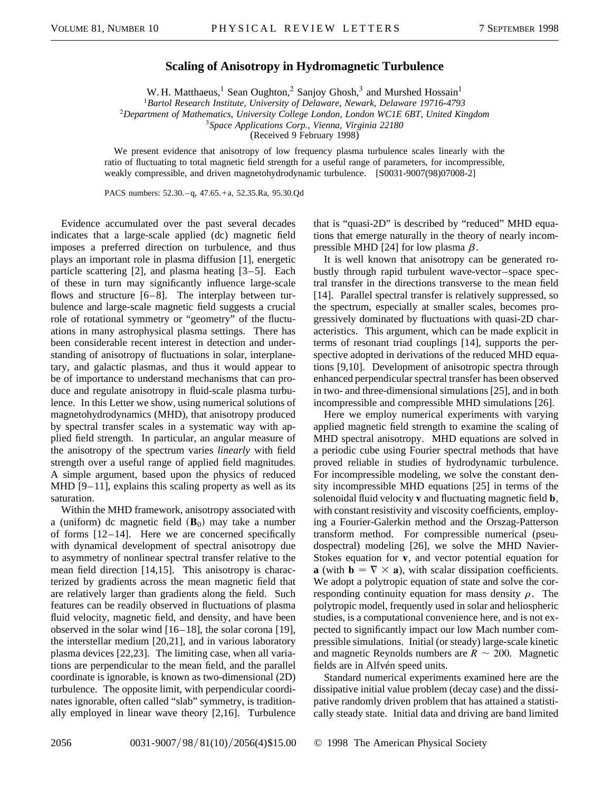## **Scaling of Anisotropy in Hydromagnetic Turbulence**

W. H. Matthaeus,<sup>1</sup> Sean Oughton,<sup>2</sup> Sanjoy Ghosh,<sup>3</sup> and Murshed Hossain<sup>1</sup>

<sup>1</sup>*Bartol Research Institute, University of Delaware, Newark, Delaware 19716-4793*

<sup>2</sup>*Department of Mathematics, University College London, London WC1E 6BT, United Kingdom*

<sup>3</sup>*Space Applications Corp., Vienna, Virginia 22180*

(Received 9 February 1998)

We present evidence that anisotropy of low frequency plasma turbulence scales linearly with the ratio of fluctuating to total magnetic field strength for a useful range of parameters, for incompressible, weakly compressible, and driven magnetohydrodynamic turbulence. [S0031-9007(98)07008-2]

PACS numbers: 52.30. – q, 47.65. + a, 52.35.Ra, 95.30.Qd

Evidence accumulated over the past several decades indicates that a large-scale applied (dc) magnetic field imposes a preferred direction on turbulence, and thus plays an important role in plasma diffusion [1], energetic particle scattering [2], and plasma heating [3–5]. Each of these in turn may significantly influence large-scale flows and structure [6–8]. The interplay between turbulence and large-scale magnetic field suggests a crucial role of rotational symmetry or "geometry" of the fluctuations in many astrophysical plasma settings. There has been considerable recent interest in detection and understanding of anisotropy of fluctuations in solar, interplanetary, and galactic plasmas, and thus it would appear to be of importance to understand mechanisms that can produce and regulate anisotropy in fluid-scale plasma turbulence. In this Letter we show, using numerical solutions of magnetohydrodynamics (MHD), that anisotropy produced by spectral transfer scales in a systematic way with applied field strength. In particular, an angular measure of the anisotropy of the spectrum varies *linearly* with field strength over a useful range of applied field magnitudes. A simple argument, based upon the physics of reduced MHD [9–11], explains this scaling property as well as its saturation.

Within the MHD framework, anisotropy associated with a (uniform) dc magnetic field  $(\mathbf{B}_0)$  may take a number of forms [12–14]. Here we are concerned specifically with dynamical development of spectral anisotropy due to asymmetry of nonlinear spectral transfer relative to the mean field direction [14,15]. This anisotropy is characterized by gradients across the mean magnetic field that are relatively larger than gradients along the field. Such features can be readily observed in fluctuations of plasma fluid velocity, magnetic field, and density, and have been observed in the solar wind [16–18], the solar corona [19], the interstellar medium [20,21], and in various laboratory plasma devices [22,23]. The limiting case, when all variations are perpendicular to the mean field, and the parallel coordinate is ignorable, is known as two-dimensional (2D) turbulence. The opposite limit, with perpendicular coordinates ignorable, often called "slab" symmetry, is traditionally employed in linear wave theory [2,16]. Turbulence

that is "quasi-2D" is described by "reduced" MHD equations that emerge naturally in the theory of nearly incompressible MHD [24] for low plasma  $\beta$ .

It is well known that anisotropy can be generated robustly through rapid turbulent wave-vector–space spectral transfer in the directions transverse to the mean field [14]. Parallel spectral transfer is relatively suppressed, so the spectrum, especially at smaller scales, becomes progressively dominated by fluctuations with quasi-2D characteristics. This argument, which can be made explicit in terms of resonant triad couplings [14], supports the perspective adopted in derivations of the reduced MHD equations [9,10]. Development of anisotropic spectra through enhanced perpendicular spectral transfer has been observed in two- and three-dimensional simulations [25], and in both incompressible and compressible MHD simulations [26].

Here we employ numerical experiments with varying applied magnetic field strength to examine the scaling of MHD spectral anisotropy. MHD equations are solved in a periodic cube using Fourier spectral methods that have proved reliable in studies of hydrodynamic turbulence. For incompressible modeling, we solve the constant density incompressible MHD equations [25] in terms of the solenoidal fluid velocity **v** and fluctuating magnetic field **b**, with constant resistivity and viscosity coefficients, employing a Fourier-Galerkin method and the Orszag-Patterson transform method. For compressible numerical (pseudospectral) modeling [26], we solve the MHD Navier-Stokes equation for **v**, and vector potential equation for **a** (with  $\mathbf{b} = \nabla \times \mathbf{a}$ ), with scalar dissipation coefficients. We adopt a polytropic equation of state and solve the corresponding continuity equation for mass density  $\rho$ . The polytropic model, frequently used in solar and heliospheric studies, is a computational convenience here, and is not expected to significantly impact our low Mach number compressible simulations. Initial (or steady) large-scale kinetic and magnetic Reynolds numbers are  $R \sim 200$ . Magnetic fields are in Alfvén speed units.

Standard numerical experiments examined here are the dissipative initial value problem (decay case) and the dissipative randomly driven problem that has attained a statistically steady state. Initial data and driving are band limited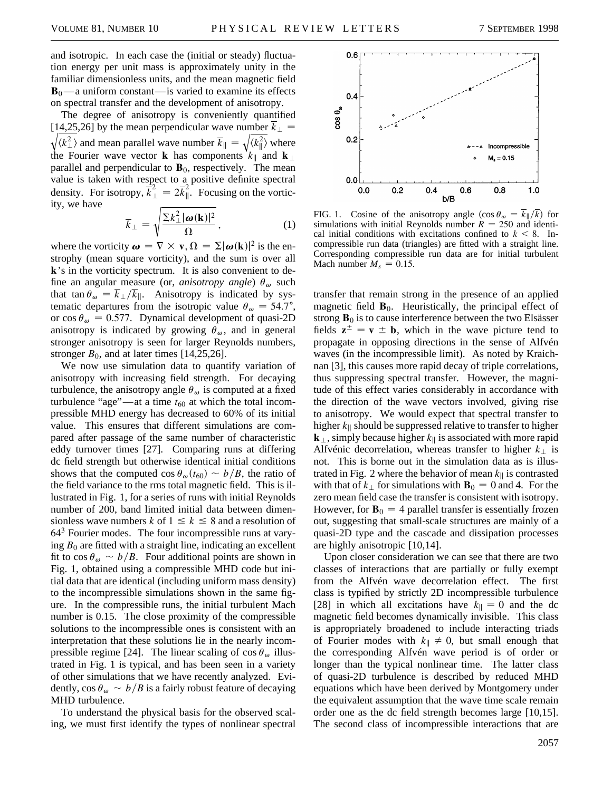and isotropic. In each case the (initial or steady) fluctuation energy per unit mass is approximately unity in the familiar dimensionless units, and the mean magnetic field  $B_0$ —a uniform constant—is varied to examine its effects on spectral transfer and the development of anisotropy.

The degree of anisotropy is conveniently quantified  $[14,25,26]$  by the mean perpendicular wave number  $k_{\perp} =$  $\langle k_\perp^2 \rangle$  and mean parallel wave number  $\overline{k}_{\parallel} =$  $\sqrt{\langle k_{\parallel}^2 \rangle}$  where the Fourier wave vector **k** has components  $k_{\parallel}$  and **k**<sub> $\perp$ </sub> parallel and perpendicular to  $\mathbf{B}_0$ , respectively. The mean value is taken with respect to a positive definite spectral density. For isotropy,  $\vec{k}_{\perp}^2 = 2\vec{k}_{\parallel}^2$ . Focusing on the vorticity, we have s

$$
\overline{k}_{\perp} = \sqrt{\frac{\Sigma k_{\perp}^2 |\omega(\mathbf{k})|^2}{\Omega}}, \tag{1}
$$

where the vorticity  $\boldsymbol{\omega} = \nabla \times \mathbf{v}, \Omega = \Sigma |\boldsymbol{\omega}(\mathbf{k})|^2$  is the enstrophy (mean square vorticity), and the sum is over all **k**'s in the vorticity spectrum. It is also convenient to define an angular measure (or, *anisotropy angle*)  $\theta_{\omega}$  such that tan  $\theta_{\omega} = \overline{k}_{\perp}/\overline{k}_{\parallel}$ . Anisotropy is indicated by systematic departures from the isotropic value  $\theta_{\omega} = 54.7^{\circ}$ , or  $\cos \theta_{\omega} = 0.577$ . Dynamical development of quasi-2D anisotropy is indicated by growing  $\theta_{\omega}$ , and in general stronger anisotropy is seen for larger Reynolds numbers, stronger  $B_0$ , and at later times [14,25,26].

We now use simulation data to quantify variation of anisotropy with increasing field strength. For decaying turbulence, the anisotropy angle  $\theta_{\omega}$  is computed at a fixed turbulence "age"—at a time  $t_{60}$  at which the total incompressible MHD energy has decreased to 60% of its initial value. This ensures that different simulations are compared after passage of the same number of characteristic eddy turnover times [27]. Comparing runs at differing dc field strength but otherwise identical initial conditions shows that the computed  $\cos \theta_{\omega}(t_{60}) \sim b/B$ , the ratio of the field variance to the rms total magnetic field. This is illustrated in Fig. 1, for a series of runs with initial Reynolds number of 200, band limited initial data between dimensionless wave numbers *k* of  $1 \leq k \leq 8$  and a resolution of  $64<sup>3</sup>$  Fourier modes. The four incompressible runs at varying  $B_0$  are fitted with a straight line, indicating an excellent fit to  $\cos \theta_{\omega} \sim b/B$ . Four additional points are shown in Fig. 1, obtained using a compressible MHD code but initial data that are identical (including uniform mass density) to the incompressible simulations shown in the same figure. In the compressible runs, the initial turbulent Mach number is 0.15. The close proximity of the compressible solutions to the incompressible ones is consistent with an interpretation that these solutions lie in the nearly incompressible regime [24]. The linear scaling of  $\cos \theta_{\omega}$  illustrated in Fig. 1 is typical, and has been seen in a variety of other simulations that we have recently analyzed. Evidently,  $\cos \theta_{\omega} \sim b/B$  is a fairly robust feature of decaying MHD turbulence.

To understand the physical basis for the observed scaling, we must first identify the types of nonlinear spectral



FIG. 1. Cosine of the anisotropy angle  $(\cos \theta_{\omega} = \overline{k}_{\parallel}/\overline{k})$  for simulations with initial Reynolds number  $R = 250$  and identical initial conditions with excitations confined to  $k < 8$ . Incompressible run data (triangles) are fitted with a straight line. Corresponding compressible run data are for initial turbulent Mach number  $M_s = 0.15$ .

transfer that remain strong in the presence of an applied magnetic field  $\mathbf{B}_0$ . Heuristically, the principal effect of strong  $\mathbf{B}_0$  is to cause interference between the two Elsässer fields  $z^{\pm} = v \pm b$ , which in the wave picture tend to propagate in opposing directions in the sense of Alfvén waves (in the incompressible limit). As noted by Kraichnan [3], this causes more rapid decay of triple correlations, thus suppressing spectral transfer. However, the magnitude of this effect varies considerably in accordance with the direction of the wave vectors involved, giving rise to anisotropy. We would expect that spectral transfer to higher  $k_{\parallel}$  should be suppressed relative to transfer to higher  $\mathbf{k}_{\perp}$ , simply because higher  $k_{\parallel}$  is associated with more rapid Alfvénic decorrelation, whereas transfer to higher  $k_{\perp}$  is not. This is borne out in the simulation data as is illustrated in Fig. 2 where the behavior of mean  $k_{\parallel}$  is contrasted with that of  $k_{\perp}$  for simulations with  $\mathbf{B}_0 = 0$  and 4. For the zero mean field case the transfer is consistent with isotropy. However, for  $\mathbf{B}_0 = 4$  parallel transfer is essentially frozen out, suggesting that small-scale structures are mainly of a quasi-2D type and the cascade and dissipation processes are highly anisotropic [10,14].

Upon closer consideration we can see that there are two classes of interactions that are partially or fully exempt from the Alfvén wave decorrelation effect. The first class is typified by strictly 2D incompressible turbulence [28] in which all excitations have  $k_{\parallel} = 0$  and the dc magnetic field becomes dynamically invisible. This class is appropriately broadened to include interacting triads of Fourier modes with  $k_{\parallel} \neq 0$ , but small enough that the corresponding Alfvén wave period is of order or longer than the typical nonlinear time. The latter class of quasi-2D turbulence is described by reduced MHD equations which have been derived by Montgomery under the equivalent assumption that the wave time scale remain order one as the dc field strength becomes large [10,15]. The second class of incompressible interactions that are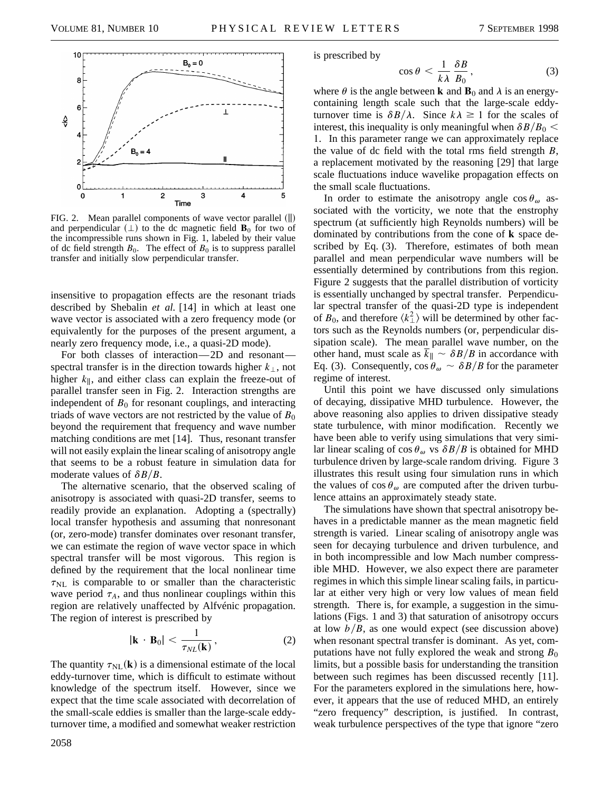

FIG. 2. Mean parallel components of wave vector parallel  $(\|)$ and perpendicular  $( \perp )$  to the dc magnetic field **B**<sub>0</sub> for two of the incompressible runs shown in Fig. 1, labeled by their value of dc field strength  $B_0$ . The effect of  $B_0$  is to suppress parallel transfer and initially slow perpendicular transfer.

insensitive to propagation effects are the resonant triads described by Shebalin *et al.* [14] in which at least one wave vector is associated with a zero frequency mode (or equivalently for the purposes of the present argument, a nearly zero frequency mode, i.e., a quasi-2D mode).

For both classes of interaction—2D and resonant spectral transfer is in the direction towards higher  $k_{\perp}$ , not higher  $k_{\parallel}$ , and either class can explain the freeze-out of parallel transfer seen in Fig. 2. Interaction strengths are independent of  $B_0$  for resonant couplings, and interacting triads of wave vectors are not restricted by the value of  $B_0$ beyond the requirement that frequency and wave number matching conditions are met [14]. Thus, resonant transfer will not easily explain the linear scaling of anisotropy angle that seems to be a robust feature in simulation data for moderate values of  $\delta B/B$ .

The alternative scenario, that the observed scaling of anisotropy is associated with quasi-2D transfer, seems to readily provide an explanation. Adopting a (spectrally) local transfer hypothesis and assuming that nonresonant (or, zero-mode) transfer dominates over resonant transfer, we can estimate the region of wave vector space in which spectral transfer will be most vigorous. This region is defined by the requirement that the local nonlinear time  $\tau_{\text{NL}}$  is comparable to or smaller than the characteristic wave period  $\tau_A$ , and thus nonlinear couplings within this region are relatively unaffected by Alfvénic propagation. The region of interest is prescribed by

$$
|\mathbf{k} \cdot \mathbf{B}_0| < \frac{1}{\tau_{NL}(\mathbf{k})},\tag{2}
$$

The quantity  $\tau_{NL}(\mathbf{k})$  is a dimensional estimate of the local eddy-turnover time, which is difficult to estimate without knowledge of the spectrum itself. However, since we expect that the time scale associated with decorrelation of the small-scale eddies is smaller than the large-scale eddyturnover time, a modified and somewhat weaker restriction is prescribed by

$$
\cos \theta < \frac{1}{k\lambda} \frac{\delta B}{B_0},\tag{3}
$$

where  $\theta$  is the angle between **k** and **B**<sub>0</sub> and  $\lambda$  is an energycontaining length scale such that the large-scale eddyturnover time is  $\delta B/\lambda$ . Since  $k\lambda \ge 1$  for the scales of interest, this inequality is only meaningful when  $\delta B/B_0 <$ 1. In this parameter range we can approximately replace the value of dc field with the total rms field strength *B*, a replacement motivated by the reasoning [29] that large scale fluctuations induce wavelike propagation effects on the small scale fluctuations.

In order to estimate the anisotropy angle  $\cos \theta_{\omega}$  associated with the vorticity, we note that the enstrophy spectrum (at sufficiently high Reynolds numbers) will be dominated by contributions from the cone of **k** space described by Eq. (3). Therefore, estimates of both mean parallel and mean perpendicular wave numbers will be essentially determined by contributions from this region. Figure 2 suggests that the parallel distribution of vorticity is essentially unchanged by spectral transfer. Perpendicular spectral transfer of the quasi-2D type is independent of  $B_0$ , and therefore  $\langle k_\perp^2 \rangle$  will be determined by other factors such as the Reynolds numbers (or, perpendicular dissipation scale). The mean parallel wave number, on the other hand, must scale as  $k_{\parallel} \sim \delta B/B$  in accordance with Eq. (3). Consequently,  $\cos \theta_{\omega} \sim \delta B/B$  for the parameter regime of interest.

Until this point we have discussed only simulations of decaying, dissipative MHD turbulence. However, the above reasoning also applies to driven dissipative steady state turbulence, with minor modification. Recently we have been able to verify using simulations that very similar linear scaling of cos  $\theta_{\omega}$  vs  $\delta B/B$  is obtained for MHD turbulence driven by large-scale random driving. Figure 3 illustrates this result using four simulation runs in which the values of  $\cos \theta_{\omega}$  are computed after the driven turbulence attains an approximately steady state.

The simulations have shown that spectral anisotropy behaves in a predictable manner as the mean magnetic field strength is varied. Linear scaling of anisotropy angle was seen for decaying turbulence and driven turbulence, and in both incompressible and low Mach number compressible MHD. However, we also expect there are parameter regimes in which this simple linear scaling fails, in particular at either very high or very low values of mean field strength. There is, for example, a suggestion in the simulations (Figs. 1 and 3) that saturation of anisotropy occurs at low  $b/B$ , as one would expect (see discussion above) when resonant spectral transfer is dominant. As yet, computations have not fully explored the weak and strong  $B_0$ limits, but a possible basis for understanding the transition between such regimes has been discussed recently [11]. For the parameters explored in the simulations here, however, it appears that the use of reduced MHD, an entirely "zero frequency" description, is justified. In contrast, weak turbulence perspectives of the type that ignore "zero